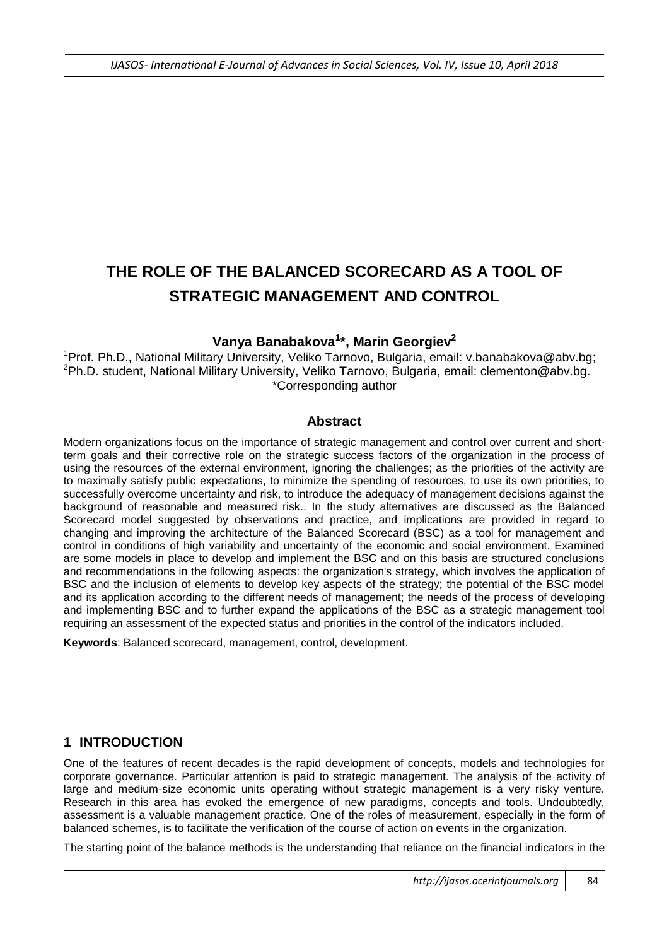# **THE ROLE OF THE BALANCED SCORECARD AS A TOOL OF STRATEGIC MANAGEMENT AND CONTROL**

## **Vanya Banabakova<sup>1</sup> \*, Marin Georgiev<sup>2</sup>**

<sup>1</sup>Prof. Ph.D., National Military University, Veliko Tarnovo, Bulgaria, email: [v.banabakova@abv.bg;](mailto:v.banabakova@abv.bg) <sup>2</sup>Ph.D. student, National Military University, Veliko Tarnovo, Bulgaria, email: [clementon@abv.bg.](mailto:clementon@abv.bg) \*Corresponding author

#### **Abstract**

Modern organizations focus on the importance of strategic management and control over current and shortterm goals and their corrective role on the strategic success factors of the organization in the process of using the resources of the external environment, ignoring the challenges; as the priorities of the activity are to maximally satisfy public expectations, to minimize the spending of resources, to use its own priorities, to successfully overcome uncertainty and risk, to introduce the adequacy of management decisions against the background of reasonable and measured risk.. In the study alternatives are discussed as the Balanced Scorecard model suggested by observations and practice, and implications are provided in regard to changing and improving the architecture of the Balanced Scorecard (BSC) as a tool for management and control in conditions of high variability and uncertainty of the economic and social environment. Examined are some models in place to develop and implement the BSC and on this basis are structured conclusions and recommendations in the following aspects: the organization's strategy, which involves the application of BSC and the inclusion of elements to develop key aspects of the strategy; the potential of the BSC model and its application according to the different needs of management; the needs of the process of developing and implementing BSC and to further expand the applications of the BSC as a strategic management tool requiring an assessment of the expected status and priorities in the control of the indicators included.

**Keywords**: Balanced scorecard, management, control, development.

### **1 INTRODUCTION**

One of the features of recent decades is the rapid development of concepts, models and technologies for corporate governance. Particular attention is paid to strategic management. The analysis of the activity of large and medium-size economic units operating without strategic management is a very risky venture. Research in this area has evoked the emergence of new paradigms, concepts and tools. Undoubtedly, assessment is a valuable management practice. One of the roles of measurement, especially in the form of balanced schemes, is to facilitate the verification of the course of action on events in the organization.

The starting point of the balance methods is the understanding that reliance on the financial indicators in the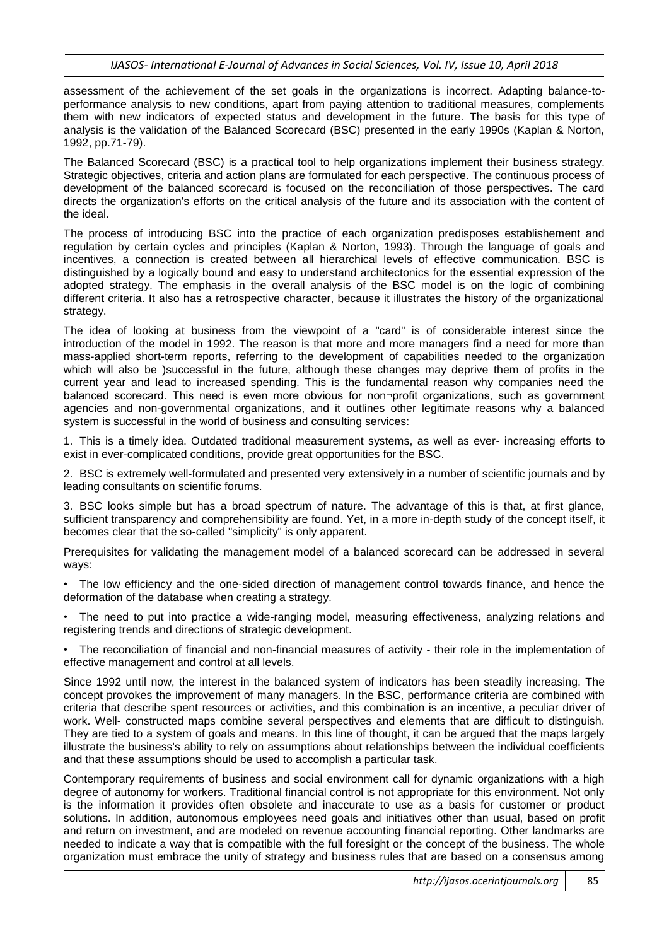assessment of the achievement of the set goals in the organizations is incorrect. Adapting balance-toperformance analysis to new conditions, apart from paying attention to traditional measures, complements them with new indicators of expected status and development in the future. The basis for this type of analysis is the validation of the Balanced Scorecard (BSC) presented in the early 1990s (Kaplan & Norton, 1992, pp.71-79).

The Balanced Scorecard (BSC) is a practical tool to help organizations implement their business strategy. Strategic objectives, criteria and action plans are formulated for each perspective. The continuous process of development of the balanced scorecard is focused on the reconciliation of those perspectives. The card directs the organization's efforts on the critical analysis of the future and its association with the content of the ideal.

The process of introducing BSC into the practice of each organization predisposes establishement and regulation by certain cycles and principles (Kaplan & Norton, 1993). Through the language of goals and incentives, a connection is created between all hierarchical levels of effective communication. BSC is distinguished by a logically bound and easy to understand architectonics for the essential expression of the adopted strategy. The emphasis in the overall analysis of the BSC model is on the logic of combining different criteria. It also has a retrospective character, because it illustrates the history of the organizational strategy.

The idea of looking at business from the viewpoint of a "card" is of considerable interest since the introduction of the model in 1992. The reason is that more and more managers find a need for more than mass-applied short-term reports, referring to the development of capabilities needed to the organization which will also be )successful in the future, although these changes may deprive them of profits in the current year and lead to increased spending. This is the fundamental reason why companies need the balanced scorecard. This need is even more obvious for non¬profit organizations, such as government agencies and non-governmental organizations, and it outlines other legitimate reasons why a balanced system is successful in the world of business and consulting services:

1. This is a timely idea. Outdated traditional measurement systems, as well as ever- increasing efforts to exist in ever-complicated conditions, provide great opportunities for the BSC.

2. BSC is extremely well-formulated and presented very extensively in a number of scientific journals and by leading consultants on scientific forums.

3. BSC looks simple but has a broad spectrum of nature. The advantage of this is that, at first glance, sufficient transparency and comprehensibility are found. Yet, in a more in-depth study of the concept itself, it becomes clear that the so-called "simplicity" is only apparent.

Prerequisites for validating the management model of a balanced scorecard can be addressed in several ways:

• The low efficiency and the one-sided direction of management control towards finance, and hence the deformation of the database when creating a strategy.

The need to put into practice a wide-ranging model, measuring effectiveness, analyzing relations and registering trends and directions of strategic development.

• The reconciliation of financial and non-financial measures of activity - their role in the implementation of effective management and control at all levels.

Since 1992 until now, the interest in the balanced system of indicators has been steadily increasing. The concept provokes the improvement of many managers. In the BSC, performance criteria are combined with criteria that describe spent resources or activities, and this combination is an incentive, a peculiar driver of work. Well- constructed maps combine several perspectives and elements that are difficult to distinguish. They are tied to a system of goals and means. In this line of thought, it can be argued that the maps largely illustrate the business's ability to rely on assumptions about relationships between the individual coefficients and that these assumptions should be used to accomplish a particular task.

Contemporary requirements of business and social environment call for dynamic organizations with a high degree of autonomy for workers. Traditional financial control is not appropriate for this environment. Not only is the information it provides often obsolete and inaccurate to use as a basis for customer or product solutions. In addition, autonomous employees need goals and initiatives other than usual, based on profit and return on investment, and are modeled on revenue accounting financial reporting. Other landmarks are needed to indicate a way that is compatible with the full foresight or the concept of the business. The whole organization must embrace the unity of strategy and business rules that are based on a consensus among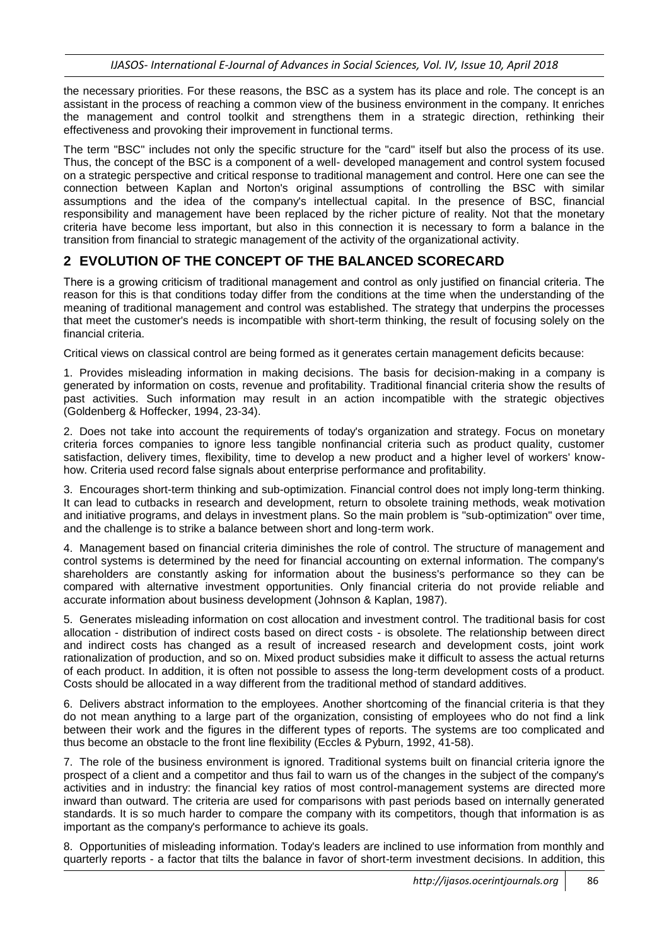the necessary priorities. For these reasons, the BSC as a system has its place and role. The concept is an assistant in the process of reaching a common view of the business environment in the company. It enriches the management and control toolkit and strengthens them in a strategic direction, rethinking their effectiveness and provoking their improvement in functional terms.

The term "BSC" includes not only the specific structure for the "card" itself but also the process of its use. Thus, the concept of the BSC is a component of a well- developed management and control system focused on a strategic perspective and critical response to traditional management and control. Here one can see the connection between Kaplan and Norton's original assumptions of controlling the BSC with similar assumptions and the idea of the company's intellectual capital. In the presence of BSC, financial responsibility and management have been replaced by the richer picture of reality. Not that the monetary criteria have become less important, but also in this connection it is necessary to form a balance in the transition from financial to strategic management of the activity of the organizational activity.

### **2 EVOLUTION OF THE CONCEPT OF THE BALANCED SCORECARD**

There is а growing criticism of traditional management and control as only justified on financial criteria. The reason for this is that conditions today differ from the conditions at the time when the understanding of the meaning of traditional management and control was established. The strategy that underpins the processes that meet the customer's needs is incompatible with short-term thinking, the result of focusing solely on the financial criteria.

Critical views on classical control are being formed as it generates certain management deficits because:

1. Provides misleading information in making decisions. The basis for decision-making in a company is generated by information on costs, revenue and profitability. Traditional financial criteria show the results of past activities. Such information may result in an action incompatible with the strategic objectives (Goldenberg & Hoffecker, 1994, 23-34).

2. Does not take into account the requirements of today's organization and strategy. Focus on monetary criteria forces companies to ignore less tangible nonfinancial criteria such as product quality, customer satisfaction, delivery times, flexibility, time to develop a new product and a higher level of workers' knowhow. Criteria used record false signals about enterprise performance and profitability.

3. Encourages short-term thinking and sub-optimization. Financial control does not imply long-term thinking. It can lead to cutbacks in research and development, return to obsolete training methods, weak motivation and initiative programs, and delays in investment plans. So the main problem is "sub-optimization" over time, and the challenge is to strike a balance between short and long-term work.

4. Management based on financial criteria diminishes the role of control. The structure of management and control systems is determined by the need for financial accounting on external information. The company's shareholders are constantly asking for information about the business's performance so they can be compared with alternative investment opportunities. Only financial criteria do not provide reliable and accurate information about business development (Johnson & Kaplan, 1987).

5. Generates misleading information on cost allocation and investment control. The traditional basis for cost allocation - distribution of indirect costs based on direct costs - is obsolete. The relationship between direct and indirect costs has changed as a result of increased research and development costs, joint work rationalization of production, and so on. Mixed product subsidies make it difficult to assess the actual returns of each product. In addition, it is often not possible to assess the long-term development costs of a product. Costs should be allocated in a way different from the traditional method of standard additives.

6. Delivers abstract information to the employees. Another shortcoming of the financial criteria is that they do not mean anything to a large part of the organization, consisting of employees who do not find a link between their work and the figures in the different types of reports. The systems are too complicated and thus become an obstacle to the front line flexibility (Eccles & Pyburn, 1992, 41-58).

7. The role of the business environment is ignored. Traditional systems built on financial criteria ignore the prospect of a client and a competitor and thus fail to warn us of the changes in the subject of the company's activities and in industry: the financial key ratios of most control-management systems are directed more inward than outward. The criteria are used for comparisons with past periods based on internally generated standards. It is so much harder to compare the company with its competitors, though that information is as important as the company's performance to achieve its goals.

8. Opportunities of misleading information. Today's leaders are inclined to use information from monthly and quarterly reports - a factor that tilts the balance in favor of short-term investment decisions. In addition, this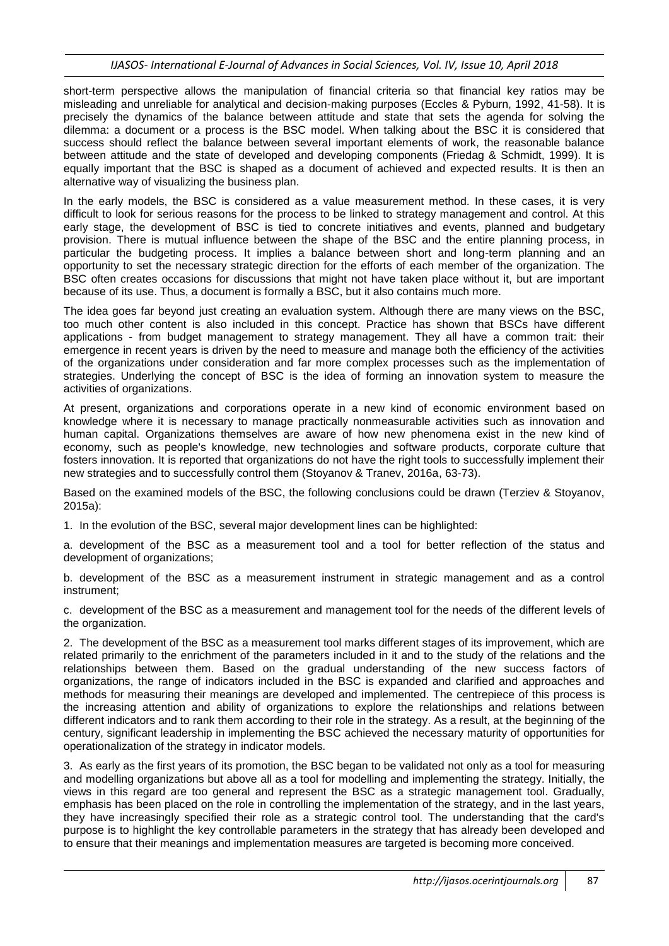short-term perspective allows the manipulation of financial criteria so that financial key ratios may be misleading and unreliable for analytical and decision-making purposes (Eccles & Pyburn, 1992, 41-58). It is precisely the dynamics of the balance between attitude and state that sets the agenda for solving the dilemma: a document or a process is the BSC model. When talking about the BSC it is considered that success should reflect the balance between several important elements of work, the reasonable balance between attitude and the state of developed and developing components (Friedag & Schmidt, 1999). It is equally important that the BSC is shaped as a document of achieved and expected results. It is then an alternative way of visualizing the business plan.

In the early models, the BSC is considered as a value measurement method. In these cases, it is very difficult to look for serious reasons for the process to be linked to strategy management and control. At this early stage, the development of BSC is tied to concrete initiatives and events, planned and budgetary provision. There is mutual influence between the shape of the BSC and the entire planning process, in particular the budgeting process. It implies a balance between short and long-term planning and an opportunity to set the necessary strategic direction for the efforts of each member of the organization. The BSC often creates occasions for discussions that might not have taken place without it, but are important because of its use. Thus, a document is formally a BSC, but it also contains much more.

The idea goes far beyond just creating an evaluation system. Although there are many views on the BSC, too much other content is also included in this concept. Practice has shown that BSCs have different applications - from budget management to strategy management. They all have a common trait: their emergence in recent years is driven by the need to measure and manage both the efficiency of the activities of the organizations under consideration and far more complex processes such as the implementation of strategies. Underlying the concept of BSC is the idea of forming an innovation system to measure the activities of organizations.

At present, organizations and corporations operate in a new kind of economic environment based on knowledge where it is necessary to manage practically nonmeasurable activities such as innovation and human capital. Organizations themselves are aware of how new phenomena exist in the new kind of economy, such as people's knowledge, new technologies and software products, corporate culture that fosters innovation. It is reported that organizations do not have the right tools to successfully implement their new strategies and to successfully control them (Stoyanov & Tranev, 2016a, 63-73).

Based on the examined models of the BSC, the following conclusions could be drawn (Terziev & Stoyanov, 2015a):

1. In the evolution of the BSC, several major development lines can be highlighted:

a. development of the BSC as a measurement tool and a tool for better reflection of the status and development of organizations;

b. development of the BSC as a measurement instrument in strategic management and as a control instrument;

c. development of the BSC as a measurement and management tool for the needs of the different levels of the organization.

2. The development of the BSC as a measurement tool marks different stages of its improvement, which are related primarily to the enrichment of the parameters included in it and to the study of the relations and the relationships between them. Based on the gradual understanding of the new success factors of organizations, the range of indicators included in the BSC is expanded and clarified and approaches and methods for measuring their meanings are developed and implemented. The centrepiece of this process is the increasing attention and ability of organizations to explore the relationships and relations between different indicators and to rank them according to their role in the strategy. As a result, at the beginning of the century, significant leadership in implementing the BSC achieved the necessary maturity of opportunities for operationalization of the strategy in indicator models.

3. As early as the first years of its promotion, the BSC began to be validated not only as a tool for measuring and modelling organizations but above all as a tool for modelling and implementing the strategy. Initially, the views in this regard are too general and represent the BSC as a strategic management tool. Gradually, emphasis has been placed on the role in controlling the implementation of the strategy, and in the last years, they have increasingly specified their role as a strategic control tool. The understanding that the card's purpose is to highlight the key controllable parameters in the strategy that has already been developed and to ensure that their meanings and implementation measures are targeted is becoming more conceived.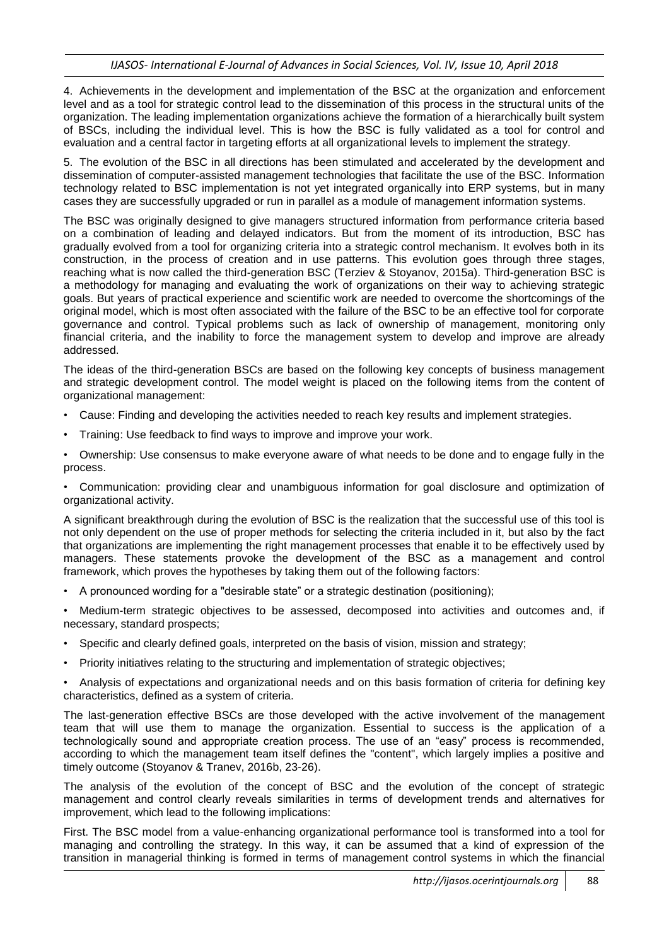4. Achievements in the development and implementation of the BSC at the organization and enforcement level and as a tool for strategic control lead to the dissemination of this process in the structural units of the organization. The leading implementation organizations achieve the formation of a hierarchically built system of BSCs, including the individual level. This is how the BSC is fully validated as a tool for control and evaluation and a central factor in targeting efforts at all organizational levels to implement the strategy.

5. The evolution of the BSC in all directions has been stimulated and accelerated by the development and dissemination of computer-assisted management technologies that facilitate the use of the BSC. Information technology related to BSC implementation is not yet integrated organically into ERP systems, but in many cases they are successfully upgraded or run in parallel as a module of management information systems.

The BSC was originally designed to give managers structured information from performance criteria based on a combination of leading and delayed indicators. But from the moment of its introduction, BSC has gradually evolved from a tool for organizing criteria into a strategic control mechanism. It evolves both in its construction, in the process of creation and in use patterns. This evolution goes through three stages, reaching what is now called the third-generation BSC (Terziev & Stoyanov, 2015a). Third-generation BSC is a methodology for managing and evaluating the work of organizations on their way to achieving strategic goals. But years of practical experience and scientific work are needed to overcome the shortcomings of the original model, which is most often associated with the failure of the BSC to be an effective tool for corporate governance and control. Typical problems such as lack of ownership of management, monitoring only financial criteria, and the inability to force the management system to develop and improve are already addressed.

The ideas of the third-generation BSCs are based on the following key concepts of business management and strategic development control. The model weight is placed on the following items from the content of organizational management:

- Cause: Finding and developing the activities needed to reach key results and implement strategies.
- Training: Use feedback to find ways to improve and improve your work.

• Ownership: Use consensus to make everyone aware of what needs to be done and to engage fully in the process.

• Communication: providing clear and unambiguous information for goal disclosure and optimization of organizational activity.

A significant breakthrough during the evolution of BSC is the realization that the successful use of this tool is not only dependent on the use of proper methods for selecting the criteria included in it, but also by the fact that organizations are implementing the right management processes that enable it to be effectively used by managers. These statements provoke the development of the BSC as a management and control framework, which proves the hypotheses by taking them out of the following factors:

• A pronounced wording for a "desirable state" or a strategic destination (positioning);

• Medium-term strategic objectives to be assessed, decomposed into activities and outcomes and, if necessary, standard prospects;

- Specific and clearly defined goals, interpreted on the basis of vision, mission and strategy;
- Priority initiatives relating to the structuring and implementation of strategic objectives;

• Analysis of expectations and organizational needs and on this basis formation of criteria for defining key characteristics, defined as a system of criteria.

The last-generation effective BSCs are those developed with the active involvement of the management team that will use them to manage the organization. Essential to success is the application of a technologically sound and appropriate creation process. The use of an "easy" process is recommended, according to which the management team itself defines the "content", which largely implies a positive and timely outcome (Stoyanov & Tranev, 2016b, 23-26).

The analysis of the evolution of the concept of BSC and the evolution of the concept of strategic management and control clearly reveals similarities in terms of development trends and alternatives for improvement, which lead to the following implications:

First. The BSC model from a value-enhancing organizational performance tool is transformed into a tool for managing and controlling the strategy. In this way, it can be assumed that a kind of expression of the transition in managerial thinking is formed in terms of management control systems in which the financial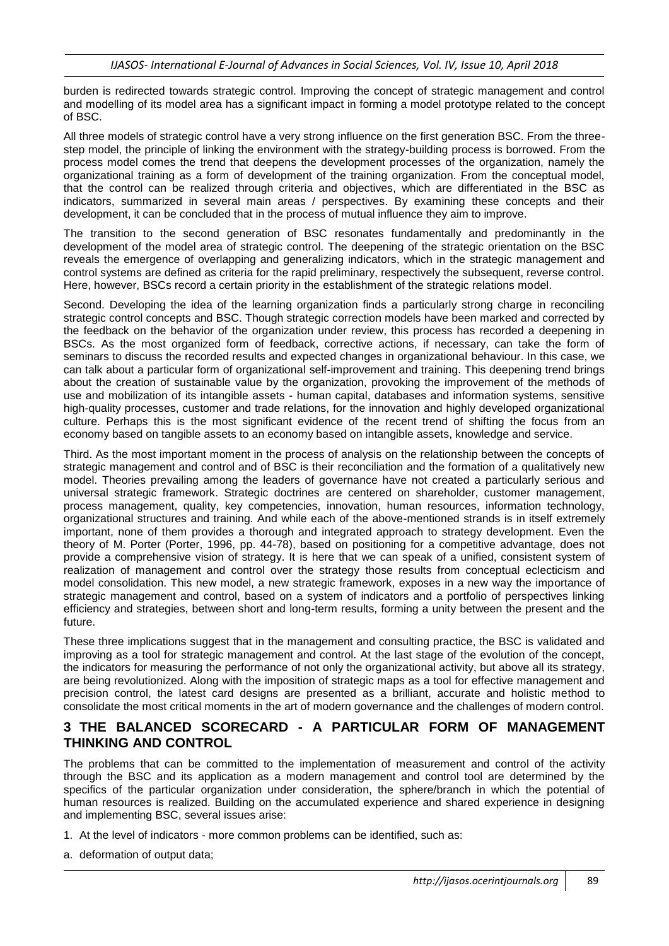burden is redirected towards strategic control. Improving the concept of strategic management and control and modelling of its model area has a significant impact in forming a model prototype related to the concept of BSC.

All three models of strategic control have a very strong influence on the first generation BSC. From the threestep model, the principle of linking the environment with the strategy-building process is borrowed. From the process model comes the trend that deepens the development processes of the organization, namely the organizational training as a form of development of the training organization. From the conceptual model, that the control can be realized through criteria and objectives, which are differentiated in the BSC as indicators, summarized in several main areas / perspectives. By examining these concepts and their development, it can be concluded that in the process of mutual influence they aim to improve.

The transition to the second generation of BSC resonates fundamentally and predominantly in the development of the model area of strategic control. The deepening of the strategic orientation on the BSC reveals the emergence of overlapping and generalizing indicators, which in the strategic management and control systems are defined as criteria for the rapid preliminary, respectively the subsequent, reverse control. Here, however, BSCs record a certain priority in the establishment of the strategic relations model.

Second. Developing the idea of the learning organization finds a particularly strong charge in reconciling strategic control concepts and BSC. Though strategic correction models have been marked and corrected by the feedback on the behavior of the organization under review, this process has recorded a deepening in BSCs. As the most organized form of feedback, corrective actions, if necessary, can take the form of seminars to discuss the recorded results and expected changes in organizational behaviour. In this case, we can talk about a particular form of organizational self-improvement and training. This deepening trend brings about the creation of sustainable value by the organization, provoking the improvement of the methods of use and mobilization of its intangible assets - human capital, databases and information systems, sensitive high-quality processes, customer and trade relations, for the innovation and highly developed organizational culture. Perhaps this is the most significant evidence of the recent trend of shifting the focus from an economy based on tangible assets to an economy based on intangible assets, knowledge and service.

Third. As the most important moment in the process of analysis on the relationship between the concepts of strategic management and control and of BSC is their reconciliation and the formation of a qualitatively new model. Theories prevailing among the leaders of governance have not created a particularly serious and universal strategic framework. Strategic doctrines are centered on shareholder, customer management, process management, quality, key competencies, innovation, human resources, information technology, organizational structures and training. And while each of the above-mentioned strands is in itself extremely important, none of them provides a thorough and integrated approach to strategy development. Even the theory of M. Porter (Porter, 1996, pp. 44-78), based on positioning for a competitive advantage, does not provide a comprehensive vision of strategy. It is here that we can speak of a unified, consistent system of realization of management and control over the strategy those results from conceptual eclecticism and model consolidation. This new model, a new strategic framework, exposes in a new way the importance of strategic management and control, based on a system of indicators and a portfolio of perspectives linking efficiency and strategies, between short and long-term results, forming a unity between the present and the future.

These three implications suggest that in the management and consulting practice, the BSC is validated and improving as a tool for strategic management and control. At the last stage of the evolution of the concept, the indicators for measuring the performance of not only the organizational activity, but above all its strategy, are being revolutionized. Along with the imposition of strategic maps as a tool for effective management and precision control, the latest card designs are presented as a brilliant, accurate and holistic method to consolidate the most critical moments in the art of modern governance and the challenges of modern control.

#### **3 THE BALANCED SCORECARD - A PARTICULAR FORM OF MANAGEMENT THINKING AND CONTROL**

The problems that can be committed to the implementation of measurement and control of the activity through the BSC and its application as a modern management and control tool are determined by the specifics of the particular organization under consideration, the sphere/branch in which the potential of human resources is realized. Building on the accumulated experience and shared experience in designing and implementing BSC, several issues arise:

- 1. At the level of indicators more common problems can be identified, such as:
- a. deformation of output data;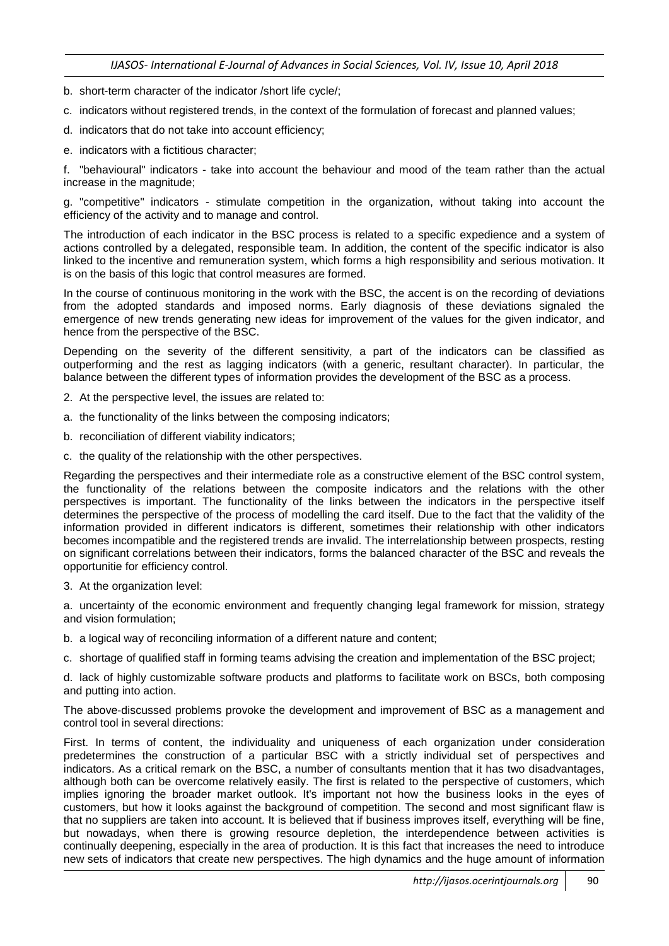- b. short-term character of the indicator /short life cycle/;
- c. indicators without registered trends, in the context of the formulation of forecast and planned values;
- d. indicators that do not take into account efficiency;
- e. indicators with a fictitious character;

f. "behavioural" indicators - take into account the behaviour and mood of the team rather than the actual increase in the magnitude;

g. "competitive" indicators - stimulate competition in the organization, without taking into account the efficiency of the activity and to manage and control.

The introduction of each indicator in the BSC process is related to a specific expedience and a system of actions controlled by a delegated, responsible team. In addition, the content of the specific indicator is also linked to the incentive and remuneration system, which forms a high responsibility and serious motivation. It is on the basis of this logic that control measures are formed.

In the course of continuous monitoring in the work with the BSC, the accent is on the recording of deviations from the adopted standards and imposed norms. Early diagnosis of these deviations signaled the emergence of new trends generating new ideas for improvement of the values for the given indicator, and hence from the perspective of the BSC.

Depending on the severity of the different sensitivity, a part of the indicators can be classified as outperforming and the rest as lagging indicators (with a generic, resultant character). In particular, the balance between the different types of information provides the development of the BSC as a process.

- 2. At the perspective level, the issues are related to:
- a. the functionality of the links between the composing indicators;
- b. reconciliation of different viability indicators;
- c. the quality of the relationship with the other perspectives.

Regarding the perspectives and their intermediate role as a constructive element of the BSC control system, the functionality of the relations between the composite indicators and the relations with the other perspectives is important. The functionality of the links between the indicators in the perspective itself determines the perspective of the process of modelling the card itself. Due to the fact that the validity of the information provided in different indicators is different, sometimes their relationship with other indicators becomes incompatible and the registered trends are invalid. The interrelationship between prospects, resting on significant correlations between their indicators, forms the balanced character of the BSC and reveals the opportunitie for efficiency control.

3. At the organization level:

a. uncertainty of the economic environment and frequently changing legal framework for mission, strategy and vision formulation;

b. a logical way of reconciling information of a different nature and content;

c. shortage of qualified staff in forming teams advising the creation and implementation of the BSC project;

d. lack of highly customizable software products and platforms to facilitate work on BSCs, both composing and putting into action.

The above-discussed problems provoke the development and improvement of BSC as a management and control tool in several directions:

First. In terms of content, the individuality and uniqueness of each organization under consideration predetermines the construction of a particular BSC with a strictly individual set of perspectives and indicators. As a critical remark on the BSC, a number of consultants mention that it has two disadvantages, although both can be overcome relatively easily. The first is related to the perspective of customers, which implies ignoring the broader market outlook. It's important not how the business looks in the eyes of customers, but how it looks against the background of competition. The second and most significant flaw is that no suppliers are taken into account. It is believed that if business improves itself, everything will be fine, but nowadays, when there is growing resource depletion, the interdependence between activities is continually deepening, especially in the area of production. It is this fact that increases the need to introduce new sets of indicators that create new perspectives. The high dynamics and the huge amount of information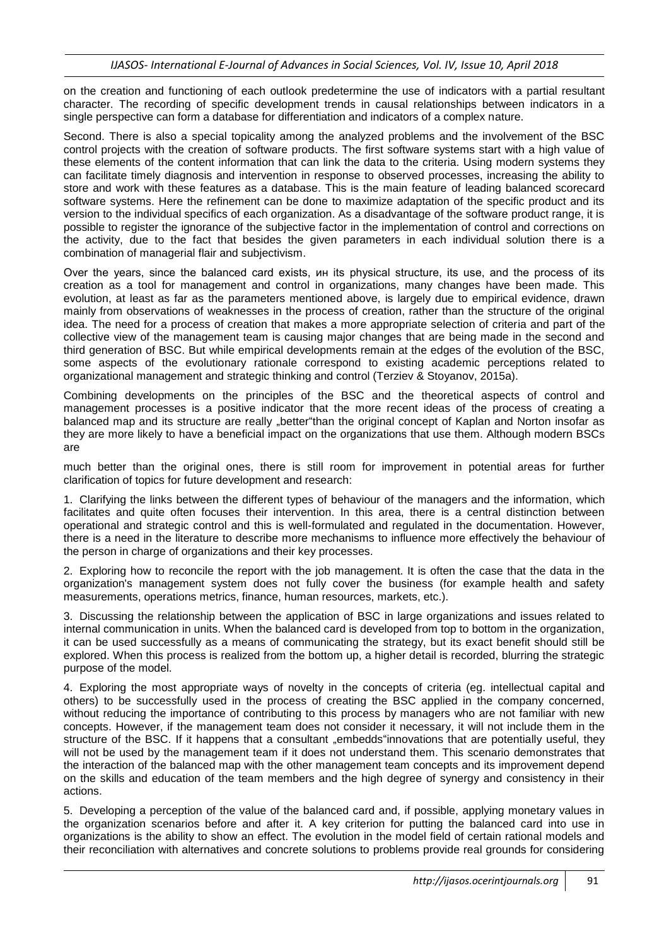on the creation and functioning of each outlook predetermine the use of indicators with a partial resultant character. The recording of specific development trends in causal relationships between indicators in a single perspective can form a database for differentiation and indicators of a complex nature.

Second. There is also a special topicality among the analyzed problems and the involvement of the BSC control projects with the creation of software products. The first software systems start with a high value of these elements of the content information that can link the data to the criteria. Using modern systems they can facilitate timely diagnosis and intervention in response to observed processes, increasing the ability to store and work with these features as a database. This is the main feature of leading balanced scorecard software systems. Here the refinement can be done to maximize adaptation of the specific product and its version to the individual specifics of each organization. As a disadvantage of the software product range, it is possible to register the ignorance of the subjective factor in the implementation of control and corrections on the activity, due to the fact that besides the given parameters in each individual solution there is a combination of managerial flair and subjectivism.

Over the years, since the balanced card exists, ин its physical structure, its use, and the process of its creation as a tool for management and control in organizations, many changes have been made. This evolution, at least as far as the parameters mentioned above, is largely due to empirical evidence, drawn mainly from observations of weaknesses in the process of creation, rather than the structure of the original idea. The need for a process of creation that makes a more appropriate selection of criteria and part of the collective view of the management team is causing major changes that are being made in the second and third generation of BSC. But while empirical developments remain at the edges of the evolution of the BSC, some aspects of the evolutionary rationale correspond to existing academic perceptions related to organizational management and strategic thinking and control (Terziev & Stoyanov, 2015a).

Combining developments on the principles of the BSC and the theoretical aspects of control and management processes is a positive indicator that the more recent ideas of the process of creating a balanced map and its structure are really "better"than the original concept of Kaplan and Norton insofar as they are more likely to have a beneficial impact on the organizations that use them. Although modern BSCs are

much better than the original ones, there is still room for improvement in potential areas for further clarification of topics for future development and research:

1. Clarifying the links between the different types of behaviour of the managers and the information, which facilitates and quite often focuses their intervention. In this area, there is a central distinction between operational and strategic control and this is well-formulated and regulated in the documentation. However, there is a need in the literature to describe more mechanisms to influence more effectively the behaviour of the person in charge of organizations and their key processes.

2. Exploring how to reconcile the report with the job management. It is often the case that the data in the organization's management system does not fully cover the business (for example health and safety measurements, operations metrics, finance, human resources, markets, etc.).

3. Discussing the relationship between the application of BSC in large organizations and issues related to internal communication in units. When the balanced card is developed from top to bottom in the organization, it can be used successfully as a means of communicating the strategy, but its exact benefit should still be explored. When this process is realized from the bottom up, a higher detail is recorded, blurring the strategic purpose of the model.

4. Exploring the most appropriate ways of novelty in the concepts of criteria (eg. intellectual capital and others) to be successfully used in the process of creating the BSC applied in the company concerned, without reducing the importance of contributing to this process by managers who are not familiar with new concepts. However, if the management team does not consider it necessary, it will not include them in the structure of the BSC. If it happens that a consultant "embedds"innovations that are potentially useful, they will not be used by the management team if it does not understand them. This scenario demonstrates that the interaction of the balanced map with the other management team concepts and its improvement depend on the skills and education of the team members and the high degree of synergy and consistency in their actions.

5. Developing a perception of the value of the balanced card and, if possible, applying monetary values in the organization scenarios before and after it. A key criterion for putting the balanced card into use in organizations is the ability to show an effect. The evolution in the model field of certain rational models and their reconciliation with alternatives and concrete solutions to problems provide real grounds for considering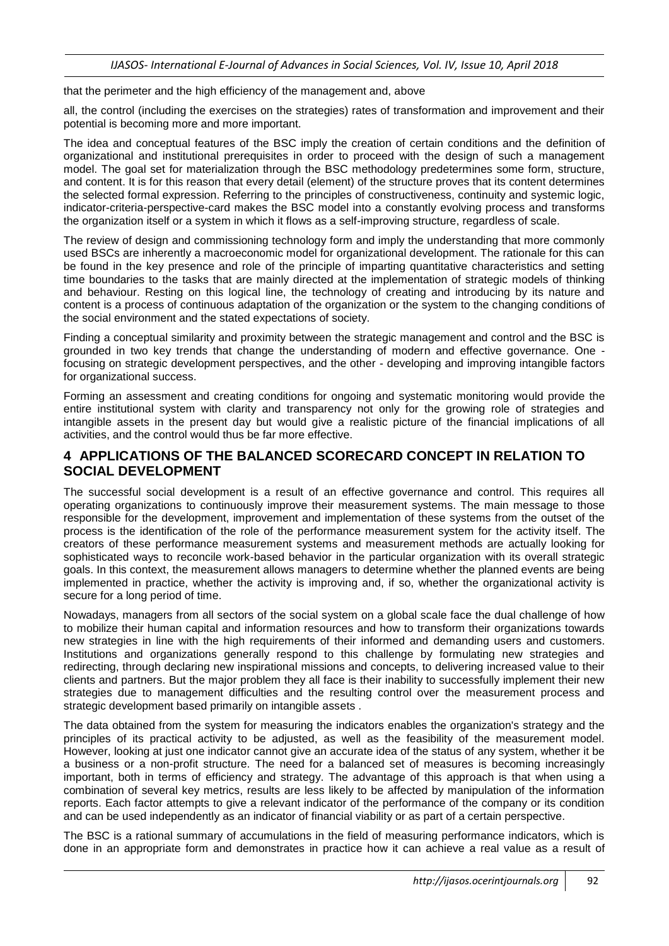that the perimeter and the high efficiency of the management and, above

all, the control (including the exercises on the strategies) rates of transformation and improvement and their potential is becoming more and more important.

The idea and conceptual features of the BSC imply the creation of certain conditions and the definition of organizational and institutional prerequisites in order to proceed with the design of such a management model. The goal set for materialization through the BSC methodology predetermines some form, structure, and content. It is for this reason that every detail (element) of the structure proves that its content determines the selected formal expression. Referring to the principles of constructiveness, continuity and systemic logic, indicator-criteria-perspective-card makes the BSC model into a constantly evolving process and transforms the organization itself or a system in which it flows as a self-improving structure, regardless of scale.

The review of design and commissioning technology form and imply the understanding that more commonly used BSCs are inherently a macroeconomic model for organizational development. The rationale for this can be found in the key presence and role of the principle of imparting quantitative characteristics and setting time boundaries to the tasks that are mainly directed at the implementation of strategic models of thinking and behaviour. Resting on this logical line, the technology of creating and introducing by its nature and content is a process of continuous adaptation of the organization or the system to the changing conditions of the social environment and the stated expectations of society.

Finding a conceptual similarity and proximity between the strategic management and control and the BSC is grounded in two key trends that change the understanding of modern and effective governance. One focusing on strategic development perspectives, and the other - developing and improving intangible factors for organizational success.

Forming an assessment and creating conditions for ongoing and systematic monitoring would provide the entire institutional system with clarity and transparency not only for the growing role of strategies and intangible assets in the present day but would give a realistic picture of the financial implications of all activities, and the control would thus be far more effective.

### **4 APPLICATIONS OF THE BALANCED SCORECARD CONCEPT IN RELATION TO SOCIAL DEVELOPMENT**

The successful social development is a result of an effective governance and control. This requires all operating organizations to continuously improve their measurement systems. The main message to those responsible for the development, improvement and implementation of these systems from the outset of the process is the identification of the role of the performance measurement system for the activity itself. The creators of these performance measurement systems and measurement methods are actually looking for sophisticated ways to reconcile work-based behavior in the particular organization with its overall strategic goals. In this context, the measurement allows managers to determine whether the planned events are being implemented in practice, whether the activity is improving and, if so, whether the organizational activity is secure for a long period of time.

Nowadays, managers from all sectors of the social system on a global scale face the dual challenge of how to mobilize their human capital and information resources and how to transform their organizations towards new strategies in line with the high requirements of their informed and demanding users and customers. Institutions and organizations generally respond to this challenge by formulating new strategies and redirecting, through declaring new inspirational missions and concepts, to delivering increased value to their clients and partners. But the major problem they all face is their inability to successfully implement their new strategies due to management difficulties and the resulting control over the measurement process and strategic development based primarily on intangible assets .

The data obtained from the system for measuring the indicators enables the organization's strategy and the principles of its practical activity to be adjusted, as well as the feasibility of the measurement model. However, looking at just one indicator cannot give an accurate idea of the status of any system, whether it be a business or a non-profit structure. The need for a balanced set of measures is becoming increasingly important, both in terms of efficiency and strategy. The advantage of this approach is that when using a combination of several key metrics, results are less likely to be affected by manipulation of the information reports. Each factor attempts to give a relevant indicator of the performance of the company or its condition and can be used independently as an indicator of financial viability or as part of a certain perspective.

The BSC is a rational summary of accumulations in the field of measuring performance indicators, which is done in an appropriate form and demonstrates in practice how it can achieve a real value as a result of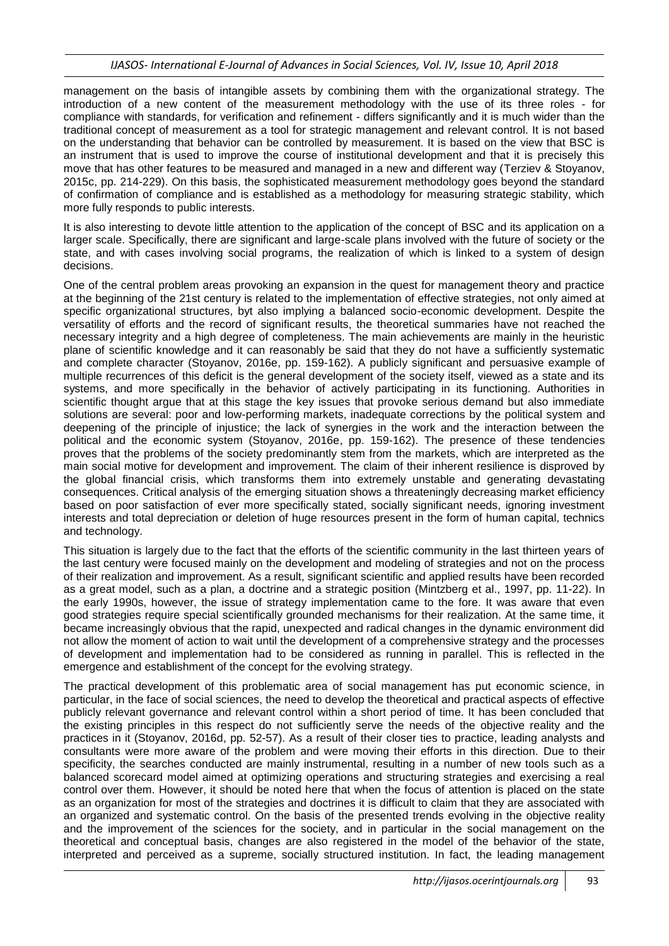management on the basis of intangible assets by combining them with the organizational strategy. The introduction of a new content of the measurement methodology with the use of its three roles - for compliance with standards, for verification and refinement - differs significantly and it is much wider than the traditional concept of measurement as a tool for strategic management and relevant control. It is not based on the understanding that behavior can be controlled by measurement. It is based on the view that BSC is an instrument that is used to improve the course of institutional development and that it is precisely this move that has other features to be measured and managed in a new and different way (Terziev & Stoyanov, 2015c, pp. 214-229). On this basis, the sophisticated measurement methodology goes beyond the standard of confirmation of compliance and is established as a methodology for measuring strategic stability, which more fully responds to public interests.

It is also interesting to devote little attention to the application of the concept of BSC and its application on a larger scale. Specifically, there are significant and large-scale plans involved with the future of society or the state, and with cases involving social programs, the realization of which is linked to a system of design decisions.

One of the central problem areas provoking an expansion in the quest for management theory and practice at the beginning of the 21st century is related to the implementation of effective strategies, not only aimed at specific organizational structures, byt also implying a balanced socio-economic development. Despite the versatility of efforts and the record of significant results, the theoretical summaries have not reached the necessary integrity and a high degree of completeness. The main achievements are mainly in the heuristic plane of scientific knowledge and it can reasonably be said that they do not have a sufficiently systematic and complete character (Stoyanov, 2016e, pp. 159-162). A publicly significant and persuasive example of multiple recurrences of this deficit is the general development of the society itself, viewed as a state and its systems, and more specifically in the behavior of actively participating in its functioning. Authorities in scientific thought argue that at this stage the key issues that provoke serious demand but also immediate solutions are several: poor and low-performing markets, inadequate corrections by the political system and deepening of the principle of injustice; the lack of synergies in the work and the interaction between the political and the economic system (Stoyanov, 2016e, pp. 159-162). The presence of these tendencies proves that the problems of the society predominantly stem from the markets, which are interpreted as the main social motive for development and improvement. The claim of their inherent resilience is disproved by the global financial crisis, which transforms them into extremely unstable and generating devastating consequences. Critical analysis of the emerging situation shows a threateningly decreasing market efficiency based on poor satisfaction of ever more specifically stated, socially significant needs, ignoring investment interests and total depreciation or deletion of huge resources present in the form of human capital, technics and technology.

This situation is largely due to the fact that the efforts of the scientific community in the last thirteen years of the last century were focused mainly on the development and modeling of strategies and not on the process of their realization and improvement. As a result, significant scientific and applied results have been recorded as a great model, such as a plan, a doctrine and a strategic position (Mintzberg et al., 1997, pp. 11-22). In the early 1990s, however, the issue of strategy implementation came to the fore. It was aware that even good strategies require special scientifically grounded mechanisms for their realization. At the same time, it became increasingly obvious that the rapid, unexpected and radical changes in the dynamic environment did not allow the moment of action to wait until the development of a comprehensive strategy and the processes of development and implementation had to be considered as running in parallel. This is reflected in the emergence and establishment of the concept for the evolving strategy.

The practical development of this problematic area of social management has put economic science, in particular, in the face of social sciences, the need to develop the theoretical and practical aspects of effective publicly relevant governance and relevant control within a short period of time. It has been concluded that the existing principles in this respect do not sufficiently serve the needs of the objective reality and the practices in it (Stoyanov, 2016d, pp. 52-57). As a result of their closer ties to practice, leading analysts and consultants were more aware of the problem and were moving their efforts in this direction. Due to their specificity, the searches conducted are mainly instrumental, resulting in a number of new tools such as a balanced scorecard model aimed at optimizing operations and structuring strategies and exercising a real control over them. However, it should be noted here that when the focus of attention is placed on the state as an organization for most of the strategies and doctrines it is difficult to claim that they are associated with an organized and systematic control. On the basis of the presented trends evolving in the objective reality and the improvement of the sciences for the society, and in particular in the social management on the theoretical and conceptual basis, changes are also registered in the model of the behavior of the state, interpreted and perceived as a supreme, socially structured institution. In fact, the leading management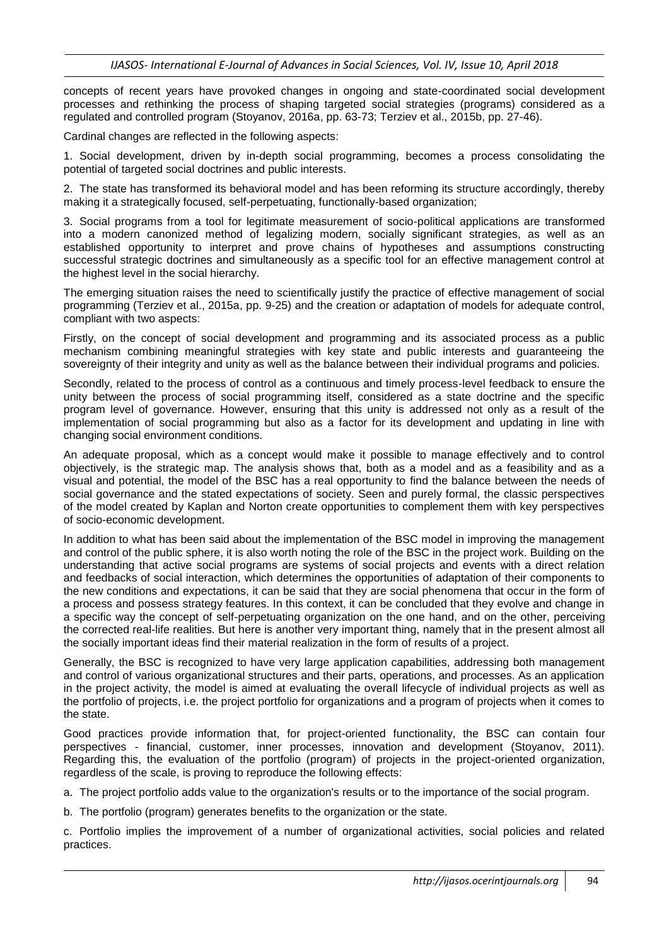concepts of recent years have provoked changes in ongoing and state-coordinated social development processes and rethinking the process of shaping targeted social strategies (programs) considered as a regulated and controlled program (Stoyanov, 2016a, pp. 63-73; Terziev et al., 2015b, pp. 27-46).

Cardinal changes are reflected in the following aspects:

1. Social development, driven by in-depth social programming, becomes a process consolidating the potential of targeted social doctrines and public interests.

2. The state has transformed its behavioral model and has been reforming its structure accordingly, thereby making it a strategically focused, self-perpetuating, functionally-based organization;

3. Social programs from a tool for legitimate measurement of socio-political applications are transformed into a modern canonized method of legalizing modern, socially significant strategies, as well as an established opportunity to interpret and prove chains of hypotheses and assumptions constructing successful strategic doctrines and simultaneously as a specific tool for an effective management control at the highest level in the social hierarchy.

The emerging situation raises the need to scientifically justify the practice of effective management of social programming (Terziev et al., 2015a, pp. 9-25) and the creation or adaptation of models for adequate control, compliant with two aspects:

Firstly, on the concept of social development and programming and its associated process as a public mechanism combining meaningful strategies with key state and public interests and guaranteeing the sovereignty of their integrity and unity as well as the balance between their individual programs and policies.

Secondly, related to the process of control as a continuous and timely process-level feedback to ensure the unity between the process of social programming itself, considered as a state doctrine and the specific program level of governance. However, ensuring that this unity is addressed not only as a result of the implementation of social programming but also as a factor for its development and updating in line with changing social environment conditions.

An adequate proposal, which as a concept would make it possible to manage effectively and to control objectively, is the strategic map. The analysis shows that, both as a model and as a feasibility and as a visual and potential, the model of the BSC has a real opportunity to find the balance between the needs of social governance and the stated expectations of society. Seen and purely formal, the classic perspectives of the model created by Kaplan and Norton create opportunities to complement them with key perspectives of socio-economic development.

In addition to what has been said about the implementation of the BSC model in improving the management and control of the public sphere, it is also worth noting the role of the BSC in the project work. Building on the understanding that active social programs are systems of social projects and events with a direct relation and feedbacks of social interaction, which determines the opportunities of adaptation of their components to the new conditions and expectations, it can be said that they are social phenomena that occur in the form of a process and possess strategy features. In this context, it can be concluded that they evolve and change in a specific way the concept of self-perpetuating organization on the one hand, and on the other, perceiving the corrected real-life realities. But here is another very important thing, namely that in the present almost all the socially important ideas find their material realization in the form of results of a project.

Generally, the BSC is recognized to have very large application capabilities, addressing both management and control of various organizational structures and their parts, operations, and processes. As an application in the project activity, the model is aimed at evaluating the overall lifecycle of individual projects as well as the portfolio of projects, i.e. the project portfolio for organizations and a program of projects when it comes to the state.

Good practices provide information that, for project-oriented functionality, the BSC can contain four perspectives - financial, customer, inner processes, innovation and development (Stoyanov, 2011). Regarding this, the evaluation of the portfolio (program) of projects in the project-oriented organization, regardless of the scale, is proving to reproduce the following effects:

a. The project portfolio adds value to the organization's results or to the importance of the social program.

b. The portfolio (program) generates benefits to the organization or the state.

c. Portfolio implies the improvement of a number of organizational activities, social policies and related practices.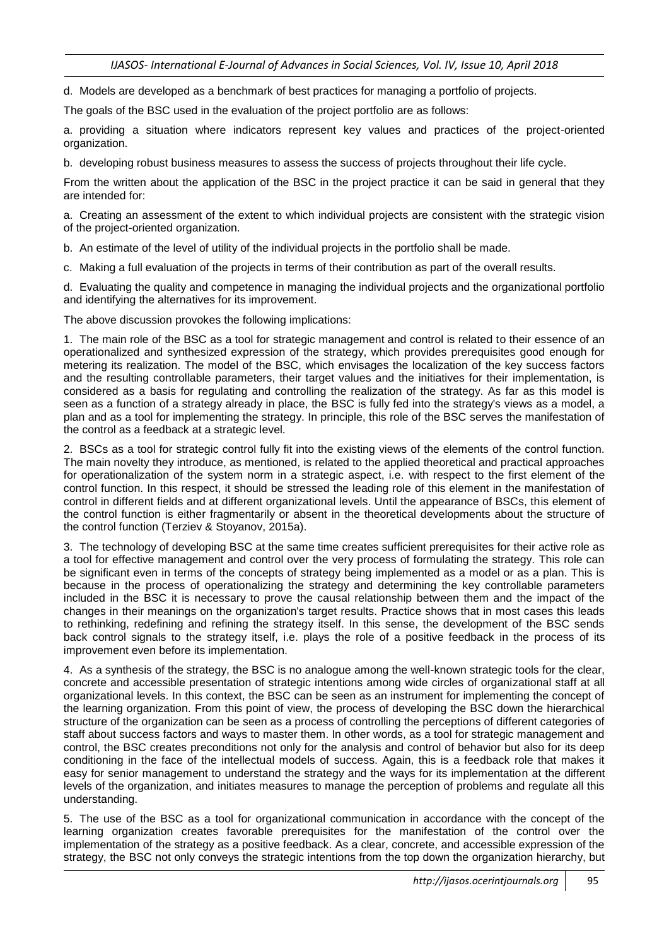d. Models are developed as a benchmark of best practices for managing a portfolio of projects.

The goals of the BSC used in the evaluation of the project portfolio are as follows:

a. providing a situation where indicators represent key values and practices of the project-oriented organization.

b. developing robust business measures to assess the success of projects throughout their life cycle.

From the written about the application of the BSC in the project practice it can be said in general that they are intended for:

a. Creating an assessment of the extent to which individual projects are consistent with the strategic vision of the project-oriented organization.

b. An estimate of the level of utility of the individual projects in the portfolio shall be made.

c. Making a full evaluation of the projects in terms of their contribution as part of the overall results.

d. Evaluating the quality and competence in managing the individual projects and the organizational portfolio and identifying the alternatives for its improvement.

The above discussion provokes the following implications:

1. The main role of the BSC as a tool for strategic management and control is related to their essence of an operationalized and synthesized expression of the strategy, which provides prerequisites good enough for metering its realization. The model of the BSC, which envisages the localization of the key success factors and the resulting controllable parameters, their target values and the initiatives for their implementation, is considered as a basis for regulating and controlling the realization of the strategy. As far as this model is seen as a function of a strategy already in place, the BSC is fully fed into the strategy's views as a model, a plan and as a tool for implementing the strategy. In principle, this role of the BSC serves the manifestation of the control as a feedback at a strategic level.

2. BSCs as a tool for strategic control fully fit into the existing views of the elements of the control function. The main novelty they introduce, as mentioned, is related to the applied theoretical and practical approaches for operationalization of the system norm in a strategic aspect, i.e. with respect to the first element of the control function. In this respect, it should be stressed the leading role of this element in the manifestation of control in different fields and at different organizational levels. Until the appearance of BSCs, this element of the control function is either fragmentarily or absent in the theoretical developments about the structure of the control function (Terziev & Stoyanov, 2015a).

3. The technology of developing BSC at the same time creates sufficient prerequisites for their active role as a tool for effective management and control over the very process of formulating the strategy. This role can be significant even in terms of the concepts of strategy being implemented as a model or as a plan. This is because in the process of operationalizing the strategy and determining the key controllable parameters included in the BSC it is necessary to prove the causal relationship between them and the impact of the changes in their meanings on the organization's target results. Practice shows that in most cases this leads to rethinking, redefining and refining the strategy itself. In this sense, the development of the BSC sends back control signals to the strategy itself, i.e. plays the role of a positive feedback in the process of its improvement even before its implementation.

4. As a synthesis of the strategy, the BSC is no analogue among the well-known strategic tools for the clear, concrete and accessible presentation of strategic intentions among wide circles of organizational staff at all organizational levels. In this context, the BSC can be seen as an instrument for implementing the concept of the learning organization. From this point of view, the process of developing the BSC down the hierarchical structure of the organization can be seen as a process of controlling the perceptions of different categories of staff about success factors and ways to master them. In other words, as a tool for strategic management and control, the BSC creates preconditions not only for the analysis and control of behavior but also for its deep conditioning in the face of the intellectual models of success. Again, this is a feedback role that makes it easy for senior management to understand the strategy and the ways for its implementation at the different levels of the organization, and initiates measures to manage the perception of problems and regulate all this understanding.

5. The use of the BSC as a tool for organizational communication in accordance with the concept of the learning organization creates favorable prerequisites for the manifestation of the control over the implementation of the strategy as a positive feedback. As a clear, concrete, and accessible expression of the strategy, the BSC not only conveys the strategic intentions from the top down the organization hierarchy, but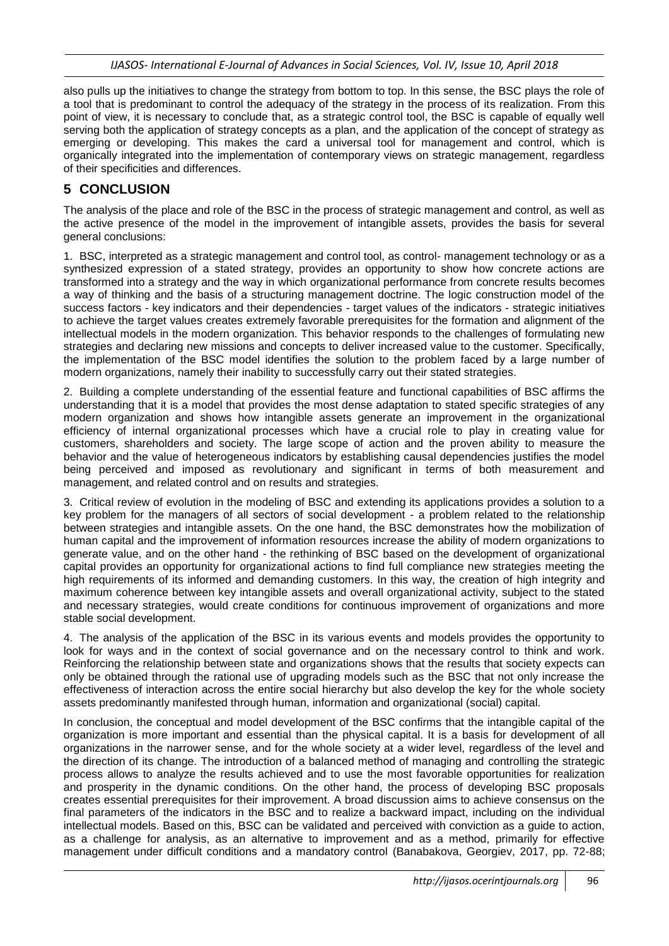also pulls up the initiatives to change the strategy from bottom to top. In this sense, the BSC plays the role of a tool that is predominant to control the adequacy of the strategy in the process of its realization. From this point of view, it is necessary to conclude that, as a strategic control tool, the BSC is capable of equally well serving both the application of strategy concepts as a plan, and the application of the concept of strategy as emerging or developing. This makes the card a universal tool for management and control, which is organically integrated into the implementation of contemporary views on strategic management, regardless of their specificities and differences.

## **5 CONCLUSION**

The analysis of the place and role of the BSC in the process of strategic management and control, as well as the active presence of the model in the improvement of intangible assets, provides the basis for several general conclusions:

1. BSC, interpreted as a strategic management and control tool, as control- management technology or as a synthesized expression of a stated strategy, provides an opportunity to show how concrete actions are transformed into a strategy and the way in which organizational performance from concrete results becomes a way of thinking and the basis of a structuring management doctrine. The logic construction model of the success factors - key indicators and their dependencies - target values of the indicators - strategic initiatives to achieve the target values creates extremely favorable prerequisites for the formation and alignment of the intellectual models in the modern organization. This behavior responds to the challenges of formulating new strategies and declaring new missions and concepts to deliver increased value to the customer. Specifically, the implementation of the BSC model identifies the solution to the problem faced by a large number of modern organizations, namely their inability to successfully carry out their stated strategies.

2. Building a complete understanding of the essential feature and functional capabilities of BSC affirms the understanding that it is a model that provides the most dense adaptation to stated specific strategies of any modern organization and shows how intangible assets generate an improvement in the organizational efficiency of internal organizational processes which have a crucial role to play in creating value for customers, shareholders and society. The large scope of action and the proven ability to measure the behavior and the value of heterogeneous indicators by establishing causal dependencies justifies the model being perceived and imposed as revolutionary and significant in terms of both measurement and management, and related control and on results and strategies.

3. Critical review of evolution in the modeling of BSC and extending its applications provides a solution to a key problem for the managers of all sectors of social development - a problem related to the relationship between strategies and intangible assets. On the one hand, the BSC demonstrates how the mobilization of human capital and the improvement of information resources increase the ability of modern organizations to generate value, and on the other hand - the rethinking of BSC based on the development of organizational capital provides an opportunity for organizational actions to find full compliance new strategies meeting the high requirements of its informed and demanding customers. In this way, the creation of high integrity and maximum coherence between key intangible assets and overall organizational activity, subject to the stated and necessary strategies, would create conditions for continuous improvement of organizations and more stable social development.

4. The analysis of the application of the BSC in its various events and models provides the opportunity to look for ways and in the context of social governance and on the necessary control to think and work. Reinforcing the relationship between state and organizations shows that the results that society expects can only be obtained through the rational use of upgrading models such as the BSC that not only increase the effectiveness of interaction across the entire social hierarchy but also develop the key for the whole society assets predominantly manifested through human, information and organizational (social) capital.

In conclusion, the conceptual and model development of the BSC confirms that the intangible capital of the organization is more important and essential than the physical capital. It is a basis for development of all organizations in the narrower sense, and for the whole society at a wider level, regardless of the level and the direction of its change. The introduction of a balanced method of managing and controlling the strategic process allows to analyze the results achieved and to use the most favorable opportunities for realization and prosperity in the dynamic conditions. On the other hand, the process of developing BSC proposals creates essential prerequisites for their improvement. A broad discussion aims to achieve consensus on the final parameters of the indicators in the BSC and to realize a backward impact, including on the individual intellectual models. Based on this, BSC can be validated and perceived with conviction as a guide to action, as a challenge for analysis, as an alternative to improvement and as a method, primarily for effective management under difficult conditions and a mandatory control (Banabakova, Georgiev, 2017, pp. 72-88;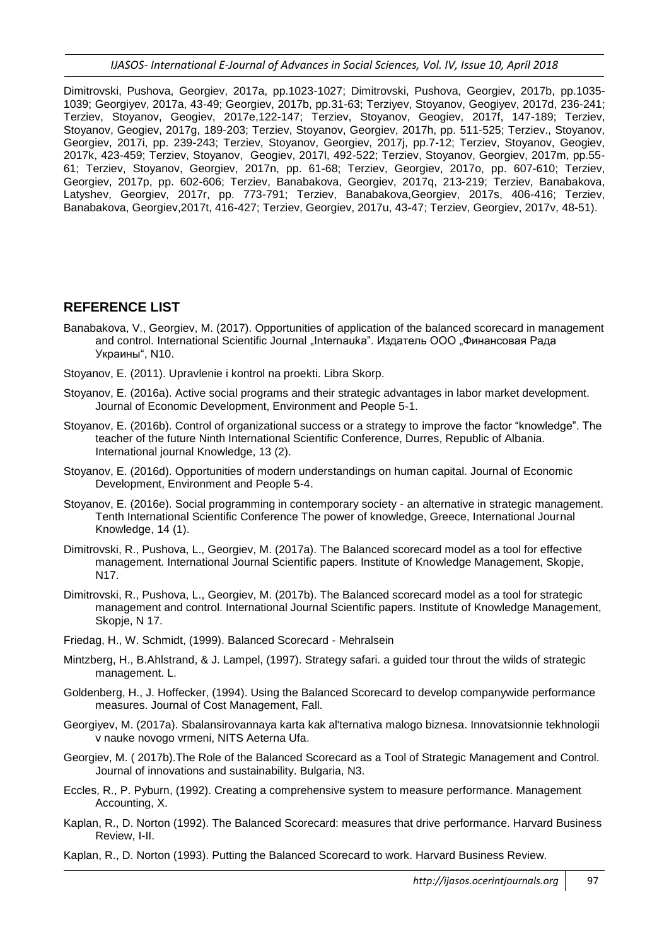*IJASOS- International E-Journal of Advances in Social Sciences, Vol. IV, Issue 10, April 2018*

Dimitrovski, Pushova, Georgiev, 2017a, pp.1023-1027; Dimitrovski, Pushova, Georgiev, 2017b, pp.1035- 1039; Georgiyev, 2017a, 43-49; Georgiev, 2017b, pp.31-63; Terziyev, Stoyanov, Geogiyev, 2017d, 236-241; Terziev, Stoyanov, Geogiev, 2017e,122-147; Terziev, Stoyanov, Geogiev, 2017f, 147-189; Terziev, Stoyanov, Geogiev, 2017g, 189-203; Terziev, Stoyanov, Georgiev, 2017h, pp. 511-525; Terziev., Stoyanov, Georgiev, 2017i, pp. 239-243; Terziev, Stoyanov, Georgiev, 2017j, pp.7-12; Terziev, Stoyanov, Geogiev, 2017k, 423-459; Terziev, Stoyanov, Geogiev, 2017l, 492-522; Terziev, Stoyanov, Georgiev, 2017m, pp.55- 61; Terziev, Stoyanov, Georgiev, 2017n, pp. 61-68; Terziev, Georgiev, 2017o, pp. 607-610; Terziev, Georgiev, 2017p, pp. 602-606; Terziev, Banabakova, Georgiev, 2017q, 213-219; Terziev, Banabakova, Latyshev, Georgiev, 2017r, pp. 773-791; Terziev, Banabakova,Georgiev, 2017s, 406-416; Terziev, Banabakova, Georgiev,2017t, 416-427; Terziev, Georgiev, 2017u, 43-47; Terziev, Georgiev, 2017v, 48-51).

## **REFERENCE LIST**

- Banabakova, V., Georgiev, M. (2017). Opportunities of application of the balanced scorecard in management and control. International Scientific Journal "Internauka". Издатель ООО "Финансовая Рада Украины", N10.
- Stoyanov, E. (2011). Upravlenie i kontrol na proekti. Libra Skorp.
- Stoyanov, E. (2016a). Active social programs and their strategic advantages in labor market development. Journal of Economic Development, Environment and People 5-1.
- Stoyanov, E. (2016b). Control of organizational success or a strategy to improve the factor "knowledge". The teacher of the future Ninth International Scientific Conference, Durres, Republic of Albania. International journal Knowledge, 13 (2).
- Stoyanov, E. (2016d). Opportunities of modern understandings on human capital. Journal of Economic Development, Environment and People 5-4.
- Stoyanov, E. (2016e). Social programming in contemporary society an alternative in strategic management. Tenth International Scientific Conference The power of knowledge, Greece, International Journal Knowledge, 14 (1).
- Dimitrovski, R., Pushova, L., Georgiev, M. (2017a). The Balanced scorecard model as a tool for effective management. International Journal Scientific papers. Institute of Knowledge Management, Skopje, N17.
- Dimitrovski, R., Pushova, L., Georgiev, M. (2017b). The Balanced scorecard model as a tool for strategic management and control. International Journal Scientific papers. Institute of Knowledge Management, Skopje, N 17.
- Friedag, H., W. Schmidt, (1999). Balanced Scorecard Mehralsein
- Mintzberg, H., B.Ahlstrand, & J. Lampel, (1997). Strategy safari. a guided tour throut the wilds of strategic management. L.
- Goldenberg, H., J. Hoffecker, (1994). Using the Balanced Scorecard to develop companywide performance measures. Journal of Cost Management, Fall.
- Georgiyev, M. (2017a). Sbalansirovannaya karta kak al'ternativa malogo biznesa. Innovatsionnie tekhnologii v nauke novogo vrmeni, NITS Aeterna Ufa.
- Georgiev, M. ( 2017b).The Role of the Balanced Scorecard as a Tool of Strategic Management and Control. Journal of innovations and sustainability. Bulgaria, N3.
- Eccles, R., P. Pyburn, (1992). Creating a comprehensive system to measure performance. Management Accounting, X.
- Kaplan, R., D. Norton (1992). The Balanced Scorecard: measures that drive performance. Harvard Business Review, I-II.
- Kaplan, R., D. Norton (1993). Putting the Balanced Scorecard to work. Harvard Business Review.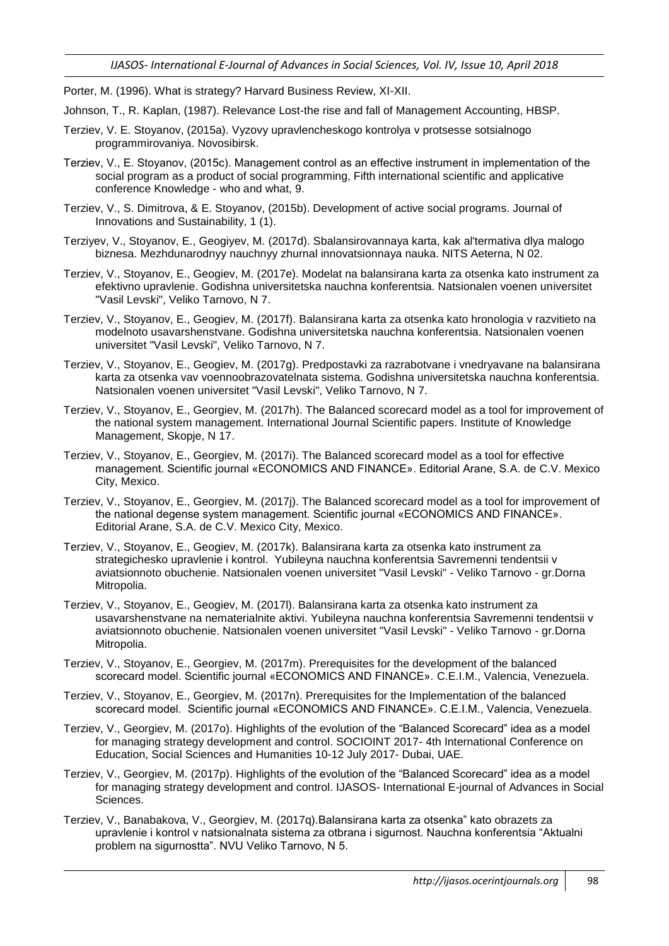Porter, M. (1996). What is strategy? Harvard Business Review, XI-XII.

- Johnson, T., R. Kaplan, (1987). Relevance Lost-the rise and fall of Management Accounting, HBSP.
- Terziev, V. E. Stoyanov, (2015a). Vyzovy upravlencheskogo kontrolya v protsesse sotsialnogo programmirovaniya. Novosibirsk.
- Terziev, V., Е. Stoyanov, (2015c). Management control as an effective instrument in implementation of the social program as a product of social programming, Fifth international scientific and applicative conference Knowledge - who and what, 9.
- Terziev, V., S. Dimitrova, & E. Stoyanov, (2015b). Development of active social programs. Journal of Innovations and Sustainability, 1 (1).
- Terziyev, V., Stoyanov, E., Geogiyev, M. (2017d). Sbalansirovannaya karta, kak al'termativa dlya malogo biznesa. Mezhdunarodnyy nauchnyy zhurnal innovatsionnaya nauka. NITS Aeterna, N 02.
- Terziev, V., Stoyanov, E., Geogiev, M. (2017e). Modelat na balansirana karta za otsenka kato instrument za efektivno upravlenie. Godishna universitetska nauchna konferentsia. Natsionalen voenen universitet "Vasil Levski", Veliko Tarnovo, N 7.
- Terziev, V., Stoyanov, E., Geogiev, M. (2017f). Balansirana karta za otsenka kato hronologia v razvitieto na modelnoto usavarshenstvane. Godishna universitetska nauchna konferentsia. Natsionalen voenen universitet "Vasil Levski", Veliko Tarnovo, N 7.
- Terziev, V., Stoyanov, E., Geogiev, M. (2017g). Predpostavki za razrabotvane i vnedryavane na balansirana karta za otsenka vav voennoobrazovatelnata sistema. Godishna universitetska nauchna konferentsia. Natsionalen voenen universitet "Vasil Levski", Veliko Tarnovo, N 7.
- Terziev, V., Stoyanov, E., Georgiev, M. (2017h). The Balanced scorecard model as a tool for improvement of the national system management. International Journal Scientific papers. Institute of Knowledge Management, Skopje, N 17.
- Terziev, V., Stoyanov, E., Georgiev, M. (2017i). The Balanced scorecard model as a tool for effective management. Scientific journal «ECONOMICS AND FINANCE». Editorial Arane, S.A. de C.V. Mexico City, Mexico.
- Terziev, V., Stoyanov, E., Georgiev, M. (2017j). The Balanced scorecard model as a tool for improvement of the national degense system management. Scientific journal «ECONOMICS AND FINANCE». Editorial Arane, S.A. de C.V. Mexico City, Mexico.
- Terziev, V., Stoyanov, E., Geogiev, M. (2017k). Balansirana karta za otsenka kato instrument za strategichesko upravlenie i kontrol. Yubileyna nauchna konferentsia Savremenni tendentsii v aviatsionnoto obuchenie. Natsionalen voenen universitet "Vasil Levski" - Veliko Tarnovo - gr.Dorna Mitropolia.
- Terziev, V., Stoyanov, E., Geogiev, M. (2017l). Balansirana karta za otsenka kato instrument za usavarshenstvane na nematerialnite aktivi. Yubileyna nauchna konferentsia Savremenni tendentsii v aviatsionnoto obuchenie. Natsionalen voenen universitet "Vasil Levski" - Veliko Tarnovo - gr.Dorna Mitropolia.
- Terziev, V., Stoyanov, E., Georgiev, M. (2017m). Prerequisites for the development of the balanced scorecard model. Scientific journal «ECONOMICS AND FINANCE». C.E.I.M., Valencia, Venezuela.
- Terziev, V., Stoyanov, E., Georgiev, M. (2017n). Prerequisites for the Implementation of the balanced scorecard model. Scientific journal «ECONOMICS AND FINANCE». C.E.I.M., Valencia, Venezuela.
- Terziev, V., Georgiev, M. (2017o). Highlights of the evolution of the "Balanced Scorecard" idea as a model for managing strategy development and control. SOCIOINT 2017- 4th International Conference on Education, Social Sciences and Humanities 10-12 July 2017- Dubai, UAE.
- Terziev, V., Georgiev, M. (2017p). Highlights of the evolution of the "Balanced Scorecard" idea as a model for managing strategy development and control. IJASOS- International E-journal of Advances in Social Sciences.
- Terziev, V., Banabakova, V., Georgiev, M. (2017q).Balansirana karta za otsenka" kato obrazets za upravlenie i kontrol v natsionalnata sistema za otbrana i sigurnost. Nauchna konferentsia "Aktualni problem na sigurnostta". NVU Veliko Tarnovo, N 5.